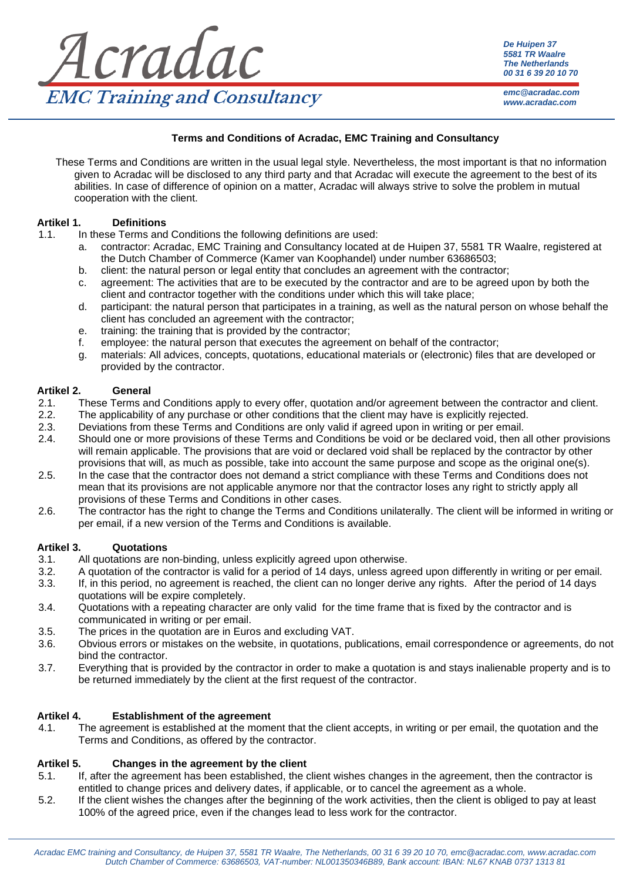

*De Huipen 37 5581 TR Waalre The Netherlands 00 31 6 39 20 10 70*

*emc@acradac.com www.acradac.com*

## **Terms and Conditions of Acradac, EMC Training and Consultancy**

These Terms and Conditions are written in the usual legal style. Nevertheless, the most important is that no information given to Acradac will be disclosed to any third party and that Acradac will execute the agreement to the best of its abilities. In case of difference of opinion on a matter, Acradac will always strive to solve the problem in mutual cooperation with the client.

## **Artikel 1. Definitions**

- 1.1. In these Terms and Conditions the following definitions are used:
	- a. contractor: Acradac, EMC Training and Consultancy located at de Huipen 37, 5581 TR Waalre, registered at the Dutch Chamber of Commerce (Kamer van Koophandel) under number 63686503;
	- b. client: the natural person or legal entity that concludes an agreement with the contractor;
	- c. agreement: The activities that are to be executed by the contractor and are to be agreed upon by both the client and contractor together with the conditions under which this will take place;
	- d. participant: the natural person that participates in a training, as well as the natural person on whose behalf the client has concluded an agreement with the contractor;
	- e. training: the training that is provided by the contractor;
	- f. employee: the natural person that executes the agreement on behalf of the contractor;
	- g. materials: All advices, concepts, quotations, educational materials or (electronic) files that are developed or provided by the contractor.

#### **Artikel 2. General**

- 2.1. These Terms and Conditions apply to every offer, quotation and/or agreement between the contractor and client.
- 2.2. The applicability of any purchase or other conditions that the client may have is explicitly rejected.
- 2.3. Deviations from these Terms and Conditions are only valid if agreed upon in writing or per email.
- 2.4. Should one or more provisions of these Terms and Conditions be void or be declared void, then all other provisions will remain applicable. The provisions that are void or declared void shall be replaced by the contractor by other provisions that will, as much as possible, take into account the same purpose and scope as the original one(s).
- 2.5. In the case that the contractor does not demand a strict compliance with these Terms and Conditions does not mean that its provisions are not applicable anymore nor that the contractor loses any right to strictly apply all provisions of these Terms and Conditions in other cases.
- 2.6. The contractor has the right to change the Terms and Conditions unilaterally. The client will be informed in writing or per email, if a new version of the Terms and Conditions is available.

## **Artikel 3. Quotations**

- 3.1. All quotations are non-binding, unless explicitly agreed upon otherwise.
- 3.2. A quotation of the contractor is valid for a period of 14 days, unless agreed upon differently in writing or per email.
- 3.3. If, in this period, no agreement is reached, the client can no longer derive any rights. After the period of 14 days quotations will be expire completely.
- 3.4. Quotations with a repeating character are only valid for the time frame that is fixed by the contractor and is communicated in writing or per email.
- 3.5. The prices in the quotation are in Euros and excluding VAT.
- 3.6. Obvious errors or mistakes on the website, in quotations, publications, email correspondence or agreements, do not bind the contractor.
- 3.7. Everything that is provided by the contractor in order to make a quotation is and stays inalienable property and is to be returned immediately by the client at the first request of the contractor.

## **Artikel 4. Establishment of the agreement**

4.1. The agreement is established at the moment that the client accepts, in writing or per email, the quotation and the Terms and Conditions, as offered by the contractor.

## **Artikel 5. Changes in the agreement by the client**

- 5.1. If, after the agreement has been established, the client wishes changes in the agreement, then the contractor is entitled to change prices and delivery dates, if applicable, or to cancel the agreement as a whole.
- 5.2. If the client wishes the changes after the beginning of the work activities, then the client is obliged to pay at least 100% of the agreed price, even if the changes lead to less work for the contractor.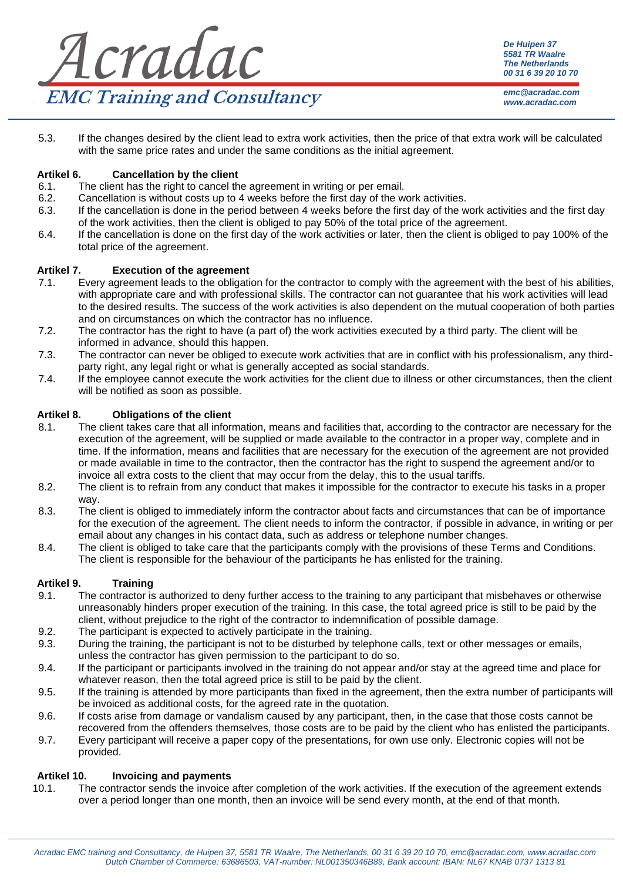| Acradac                             | De Huipen 37<br>5581 TR Waalre<br><b>The Netherlands</b><br>00 31 6 39 20 10 70 |
|-------------------------------------|---------------------------------------------------------------------------------|
| <b>EMC Training and Consultancy</b> | emc@acradac.com<br>www.acradac.com                                              |

5.3. If the changes desired by the client lead to extra work activities, then the price of that extra work will be calculated with the same price rates and under the same conditions as the initial agreement.

# **Artikel 6. Cancellation by the client**

- 6.1. The client has the right to cancel the agreement in writing or per email.
- 
- 6.2. Cancellation is without costs up to 4 weeks before the first day of the work activities.<br>6.3. If the cancellation is done in the period between 4 weeks before the first day of the w If the cancellation is done in the period between 4 weeks before the first day of the work activities and the first day of the work activities, then the client is obliged to pay 50% of the total price of the agreement.
- 6.4. If the cancellation is done on the first day of the work activities or later, then the client is obliged to pay 100% of the total price of the agreement.

## **Artikel 7. Execution of the agreement**

- 7.1. Every agreement leads to the obligation for the contractor to comply with the agreement with the best of his abilities, with appropriate care and with professional skills. The contractor can not guarantee that his work activities will lead to the desired results. The success of the work activities is also dependent on the mutual cooperation of both parties and on circumstances on which the contractor has no influence.
- 7.2. The contractor has the right to have (a part of) the work activities executed by a third party. The client will be informed in advance, should this happen.
- 7.3. The contractor can never be obliged to execute work activities that are in conflict with his professionalism, any thirdparty right, any legal right or what is generally accepted as social standards.
- 7.4. If the employee cannot execute the work activities for the client due to illness or other circumstances, then the client will be notified as soon as possible.

# **Artikel 8. Obligations of the client**

- 8.1. The client takes care that all information, means and facilities that, according to the contractor are necessary for the execution of the agreement, will be supplied or made available to the contractor in a proper way, complete and in time. If the information, means and facilities that are necessary for the execution of the agreement are not provided or made available in time to the contractor, then the contractor has the right to suspend the agreement and/or to invoice all extra costs to the client that may occur from the delay, this to the usual tariffs.
- 8.2. The client is to refrain from any conduct that makes it impossible for the contractor to execute his tasks in a proper way.
- 8.3. The client is obliged to immediately inform the contractor about facts and circumstances that can be of importance for the execution of the agreement. The client needs to inform the contractor, if possible in advance, in writing or per email about any changes in his contact data, such as address or telephone number changes.
- 8.4. The client is obliged to take care that the participants comply with the provisions of these Terms and Conditions. The client is responsible for the behaviour of the participants he has enlisted for the training.

## **Artikel 9. Training**

- 9.1. The contractor is authorized to deny further access to the training to any participant that misbehaves or otherwise unreasonably hinders proper execution of the training. In this case, the total agreed price is still to be paid by the client, without prejudice to the right of the contractor to indemnification of possible damage.
- 9.2. The participant is expected to actively participate in the training.
- 9.3. During the training, the participant is not to be disturbed by telephone calls, text or other messages or emails, unless the contractor has given permission to the participant to do so.
- 9.4. If the participant or participants involved in the training do not appear and/or stay at the agreed time and place for whatever reason, then the total agreed price is still to be paid by the client.
- 9.5. If the training is attended by more participants than fixed in the agreement, then the extra number of participants will be invoiced as additional costs, for the agreed rate in the quotation.
- 9.6. If costs arise from damage or vandalism caused by any participant, then, in the case that those costs cannot be recovered from the offenders themselves, those costs are to be paid by the client who has enlisted the participants.
- 9.7. Every participant will receive a paper copy of the presentations, for own use only. Electronic copies will not be provided.

## **Artikel 10. Invoicing and payments**

10.1. The contractor sends the invoice after completion of the work activities. If the execution of the agreement extends over a period longer than one month, then an invoice will be send every month, at the end of that month.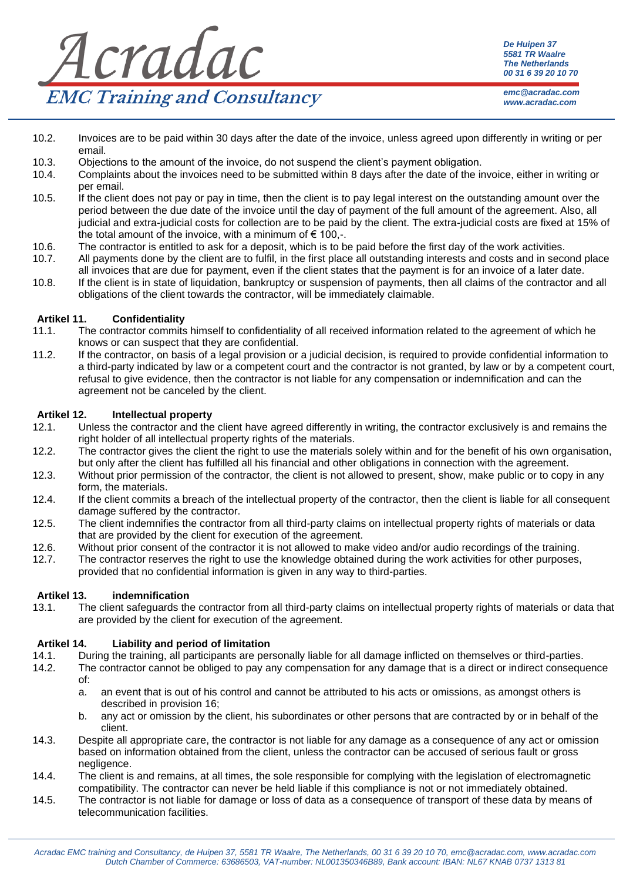

*De Huipen 37 5581 TR Waalre The Netherlands 00 31 6 39 20 10 70*

*emc@acradac.com www.acradac.com*

- 10.2. Invoices are to be paid within 30 days after the date of the invoice, unless agreed upon differently in writing or per email.
- 10.3. Objections to the amount of the invoice, do not suspend the client's payment obligation.<br>10.4. Complaints about the invoices need to be submitted within 8 days after the date of the ir
- 10.4. Complaints about the invoices need to be submitted within 8 days after the date of the invoice, either in writing or per email.
- 10.5. If the client does not pay or pay in time, then the client is to pay legal interest on the outstanding amount over the period between the due date of the invoice until the day of payment of the full amount of the agreement. Also, all judicial and extra-judicial costs for collection are to be paid by the client. The extra-judicial costs are fixed at 15% of the total amount of the invoice, with a minimum of  $\epsilon$  100,-.
- 10.6. The contractor is entitled to ask for a deposit, which is to be paid before the first day of the work activities.<br>10.7. All payments done by the client are to fulfil, in the first place all outstanding interests and
- All payments done by the client are to fulfil, in the first place all outstanding interests and costs and in second place all invoices that are due for payment, even if the client states that the payment is for an invoice of a later date.
- 10.8. If the client is in state of liquidation, bankruptcy or suspension of payments, then all claims of the contractor and all obligations of the client towards the contractor, will be immediately claimable.

## **Artikel 11. Confidentiality**

- 11.1. The contractor commits himself to confidentiality of all received information related to the agreement of which he knows or can suspect that they are confidential.
- 11.2. If the contractor, on basis of a legal provision or a judicial decision, is required to provide confidential information to a third-party indicated by law or a competent court and the contractor is not granted, by law or by a competent court, refusal to give evidence, then the contractor is not liable for any compensation or indemnification and can the agreement not be canceled by the client.

#### **Artikel 12. Intellectual property**

- 12.1. Unless the contractor and the client have agreed differently in writing, the contractor exclusively is and remains the right holder of all intellectual property rights of the materials.
- 12.2. The contractor gives the client the right to use the materials solely within and for the benefit of his own organisation, but only after the client has fulfilled all his financial and other obligations in connection with the agreement.
- 12.3. Without prior permission of the contractor, the client is not allowed to present, show, make public or to copy in any form, the materials.
- 12.4. If the client commits a breach of the intellectual property of the contractor, then the client is liable for all consequent damage suffered by the contractor.
- 12.5. The client indemnifies the contractor from all third-party claims on intellectual property rights of materials or data that are provided by the client for execution of the agreement.
- 12.6. Without prior consent of the contractor it is not allowed to make video and/or audio recordings of the training.
- 12.7. The contractor reserves the right to use the knowledge obtained during the work activities for other purposes, provided that no confidential information is given in any way to third-parties.

#### **Artikel 13. indemnification**

13.1. The client safeguards the contractor from all third-party claims on intellectual property rights of materials or data that are provided by the client for execution of the agreement.

## **Artikel 14. Liability and period of limitation**

- 14.1. During the training, all participants are personally liable for all damage inflicted on themselves or third-parties.
- 14.2. The contractor cannot be obliged to pay any compensation for any damage that is a direct or indirect consequence of:
	- a. an event that is out of his control and cannot be attributed to his acts or omissions, as amongst others is described in provision 16;
	- b. any act or omission by the client, his subordinates or other persons that are contracted by or in behalf of the client.
- 14.3. Despite all appropriate care, the contractor is not liable for any damage as a consequence of any act or omission based on information obtained from the client, unless the contractor can be accused of serious fault or gross negligence.
- 14.4. The client is and remains, at all times, the sole responsible for complying with the legislation of electromagnetic compatibility. The contractor can never be held liable if this compliance is not or not immediately obtained.
- 14.5. The contractor is not liable for damage or loss of data as a consequence of transport of these data by means of telecommunication facilities.